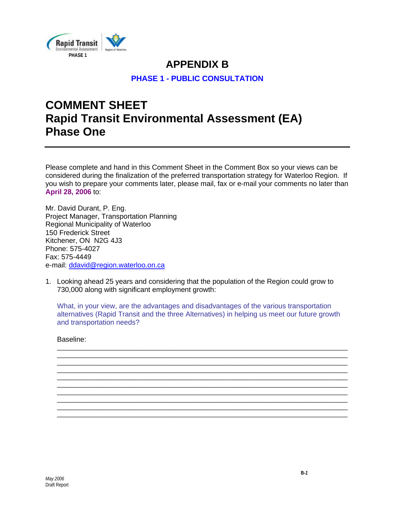

**PHASE 1 - PUBLIC CONSULTATION**

# **COMMENT SHEET Rapid Transit Environmental Assessment (EA) Phase One**

Please complete and hand in this Comment Sheet in the Comment Box so your views can be considered during the finalization of the preferred transportation strategy for Waterloo Region. If you wish to prepare your comments later, please mail, fax or e-mail your comments no later than **April 28, 2006** to:

Mr. David Durant, P. Eng. Project Manager, Transportation Planning Regional Municipality of Waterloo 150 Frederick Street Kitchener, ON N2G 4J3 Phone: 575-4027 Fax: 575-4449 e-mail: ddavid@region.waterloo.on.ca

1. Looking ahead 25 years and considering that the population of the Region could grow to 730,000 along with significant employment growth:

What, in your view, are the advantages and disadvantages of the various transportation alternatives (Rapid Transit and the three Alternatives) in helping us meet our future growth and transportation needs?

\_\_\_\_\_\_\_\_\_\_\_\_\_\_\_\_\_\_\_\_\_\_\_\_\_\_\_\_\_\_\_\_\_\_\_\_\_\_\_\_\_\_\_\_\_\_\_\_\_\_\_\_\_\_\_\_\_\_\_\_\_\_\_\_\_\_\_\_\_\_\_\_\_\_\_\_\_\_\_\_\_ \_\_\_\_\_\_\_\_\_\_\_\_\_\_\_\_\_\_\_\_\_\_\_\_\_\_\_\_\_\_\_\_\_\_\_\_\_\_\_\_\_\_\_\_\_\_\_\_\_\_\_\_\_\_\_\_\_\_\_\_\_\_\_\_\_\_\_\_\_\_\_\_\_\_\_\_\_\_\_\_\_ \_\_\_\_\_\_\_\_\_\_\_\_\_\_\_\_\_\_\_\_\_\_\_\_\_\_\_\_\_\_\_\_\_\_\_\_\_\_\_\_\_\_\_\_\_\_\_\_\_\_\_\_\_\_\_\_\_\_\_\_\_\_\_\_\_\_\_\_\_\_\_\_\_\_\_\_\_\_\_\_\_ \_\_\_\_\_\_\_\_\_\_\_\_\_\_\_\_\_\_\_\_\_\_\_\_\_\_\_\_\_\_\_\_\_\_\_\_\_\_\_\_\_\_\_\_\_\_\_\_\_\_\_\_\_\_\_\_\_\_\_\_\_\_\_\_\_\_\_\_\_\_\_\_\_\_\_\_\_\_\_\_\_

\_\_\_\_\_\_\_\_\_\_\_\_\_\_\_\_\_\_\_\_\_\_\_\_\_\_\_\_\_\_\_\_\_\_\_\_\_\_\_\_\_\_\_\_\_\_\_\_\_\_\_\_\_\_\_\_\_\_\_\_\_\_\_\_\_\_\_\_\_\_\_\_\_\_\_\_\_\_\_\_\_ \_\_\_\_\_\_\_\_\_\_\_\_\_\_\_\_\_\_\_\_\_\_\_\_\_\_\_\_\_\_\_\_\_\_\_\_\_\_\_\_\_\_\_\_\_\_\_\_\_\_\_\_\_\_\_\_\_\_\_\_\_\_\_\_\_\_\_\_\_\_\_\_\_\_\_\_\_\_\_\_\_ \_\_\_\_\_\_\_\_\_\_\_\_\_\_\_\_\_\_\_\_\_\_\_\_\_\_\_\_\_\_\_\_\_\_\_\_\_\_\_\_\_\_\_\_\_\_\_\_\_\_\_\_\_\_\_\_\_\_\_\_\_\_\_\_\_\_\_\_\_\_\_\_\_\_\_\_\_\_\_\_\_ \_\_\_\_\_\_\_\_\_\_\_\_\_\_\_\_\_\_\_\_\_\_\_\_\_\_\_\_\_\_\_\_\_\_\_\_\_\_\_\_\_\_\_\_\_\_\_\_\_\_\_\_\_\_\_\_\_\_\_\_\_\_\_\_\_\_\_\_\_\_\_\_\_\_\_\_\_\_\_\_\_ \_\_\_\_\_\_\_\_\_\_\_\_\_\_\_\_\_\_\_\_\_\_\_\_\_\_\_\_\_\_\_\_\_\_\_\_\_\_\_\_\_\_\_\_\_\_\_\_\_\_\_\_\_\_\_\_\_\_\_\_\_\_\_\_\_\_\_\_\_\_\_\_\_\_\_\_\_\_\_\_\_

Baseline: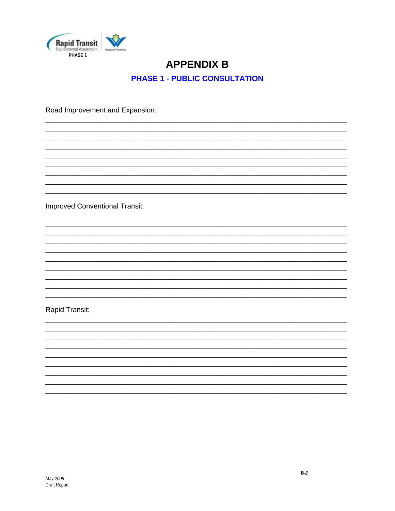

**PHASE 1 - PUBLIC CONSULTATION** 

Road Improvement and Expansion:

**Improved Conventional Transit:** 

#### Rapid Transit: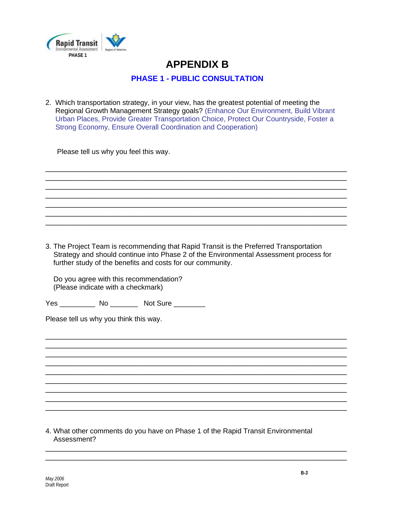

**PHASE 1 - PUBLIC CONSULTATION**

2. Which transportation strategy, in your view, has the greatest potential of meeting the Regional Growth Management Strategy goals? (Enhance Our Environment, Build Vibrant Urban Places, Provide Greater Transportation Choice, Protect Our Countryside, Foster a Strong Economy, Ensure Overall Coordination and Cooperation)

Please tell us why you feel this way.

\_\_\_\_\_\_\_\_\_\_\_\_\_\_\_\_\_\_\_\_\_\_\_\_\_\_\_\_\_\_\_\_\_\_\_\_\_\_\_\_\_\_\_\_\_\_\_\_\_\_\_\_\_\_\_\_\_\_\_\_\_\_\_\_\_\_\_\_\_\_ \_\_\_\_\_\_\_\_\_\_\_\_\_\_\_\_\_\_\_\_\_\_\_\_\_\_\_\_\_\_\_\_\_\_\_\_\_\_\_\_\_\_\_\_\_\_\_\_\_\_\_\_\_\_\_\_\_\_\_\_\_\_\_\_\_\_\_\_\_\_ \_\_\_\_\_\_\_\_\_\_\_\_\_\_\_\_\_\_\_\_\_\_\_\_\_\_\_\_\_\_\_\_\_\_\_\_\_\_\_\_\_\_\_\_\_\_\_\_\_\_\_\_\_\_\_\_\_\_\_\_\_\_\_\_\_\_\_\_\_\_ \_\_\_\_\_\_\_\_\_\_\_\_\_\_\_\_\_\_\_\_\_\_\_\_\_\_\_\_\_\_\_\_\_\_\_\_\_\_\_\_\_\_\_\_\_\_\_\_\_\_\_\_\_\_\_\_\_\_\_\_\_\_\_\_\_\_\_\_\_\_ \_\_\_\_\_\_\_\_\_\_\_\_\_\_\_\_\_\_\_\_\_\_\_\_\_\_\_\_\_\_\_\_\_\_\_\_\_\_\_\_\_\_\_\_\_\_\_\_\_\_\_\_\_\_\_\_\_\_\_\_\_\_\_\_\_\_\_\_\_\_ \_\_\_\_\_\_\_\_\_\_\_\_\_\_\_\_\_\_\_\_\_\_\_\_\_\_\_\_\_\_\_\_\_\_\_\_\_\_\_\_\_\_\_\_\_\_\_\_\_\_\_\_\_\_\_\_\_\_\_\_\_\_\_\_\_\_\_\_\_\_ \_\_\_\_\_\_\_\_\_\_\_\_\_\_\_\_\_\_\_\_\_\_\_\_\_\_\_\_\_\_\_\_\_\_\_\_\_\_\_\_\_\_\_\_\_\_\_\_\_\_\_\_\_\_\_\_\_\_\_\_\_\_\_\_\_\_\_\_\_\_

3. The Project Team is recommending that Rapid Transit is the Preferred Transportation Strategy and should continue into Phase 2 of the Environmental Assessment process for further study of the benefits and costs for our community.

\_\_\_\_\_\_\_\_\_\_\_\_\_\_\_\_\_\_\_\_\_\_\_\_\_\_\_\_\_\_\_\_\_\_\_\_\_\_\_\_\_\_\_\_\_\_\_\_\_\_\_\_\_\_\_\_\_\_\_\_\_\_\_\_\_\_\_\_\_\_ \_\_\_\_\_\_\_\_\_\_\_\_\_\_\_\_\_\_\_\_\_\_\_\_\_\_\_\_\_\_\_\_\_\_\_\_\_\_\_\_\_\_\_\_\_\_\_\_\_\_\_\_\_\_\_\_\_\_\_\_\_\_\_\_\_\_\_\_\_\_ \_\_\_\_\_\_\_\_\_\_\_\_\_\_\_\_\_\_\_\_\_\_\_\_\_\_\_\_\_\_\_\_\_\_\_\_\_\_\_\_\_\_\_\_\_\_\_\_\_\_\_\_\_\_\_\_\_\_\_\_\_\_\_\_\_\_\_\_\_\_ \_\_\_\_\_\_\_\_\_\_\_\_\_\_\_\_\_\_\_\_\_\_\_\_\_\_\_\_\_\_\_\_\_\_\_\_\_\_\_\_\_\_\_\_\_\_\_\_\_\_\_\_\_\_\_\_\_\_\_\_\_\_\_\_\_\_\_\_\_\_ \_\_\_\_\_\_\_\_\_\_\_\_\_\_\_\_\_\_\_\_\_\_\_\_\_\_\_\_\_\_\_\_\_\_\_\_\_\_\_\_\_\_\_\_\_\_\_\_\_\_\_\_\_\_\_\_\_\_\_\_\_\_\_\_\_\_\_\_\_\_ \_\_\_\_\_\_\_\_\_\_\_\_\_\_\_\_\_\_\_\_\_\_\_\_\_\_\_\_\_\_\_\_\_\_\_\_\_\_\_\_\_\_\_\_\_\_\_\_\_\_\_\_\_\_\_\_\_\_\_\_\_\_\_\_\_\_\_\_\_\_ \_\_\_\_\_\_\_\_\_\_\_\_\_\_\_\_\_\_\_\_\_\_\_\_\_\_\_\_\_\_\_\_\_\_\_\_\_\_\_\_\_\_\_\_\_\_\_\_\_\_\_\_\_\_\_\_\_\_\_\_\_\_\_\_\_\_\_\_\_\_ \_\_\_\_\_\_\_\_\_\_\_\_\_\_\_\_\_\_\_\_\_\_\_\_\_\_\_\_\_\_\_\_\_\_\_\_\_\_\_\_\_\_\_\_\_\_\_\_\_\_\_\_\_\_\_\_\_\_\_\_\_\_\_\_\_\_\_\_\_\_ \_\_\_\_\_\_\_\_\_\_\_\_\_\_\_\_\_\_\_\_\_\_\_\_\_\_\_\_\_\_\_\_\_\_\_\_\_\_\_\_\_\_\_\_\_\_\_\_\_\_\_\_\_\_\_\_\_\_\_\_\_\_\_\_\_\_\_\_\_\_

 Do you agree with this recommendation? (Please indicate with a checkmark)

Yes \_\_\_\_\_\_\_\_\_\_\_ No \_\_\_\_\_\_\_\_ Not Sure \_\_\_\_\_\_\_\_

Please tell us why you think this way.

#### 4. What other comments do you have on Phase 1 of the Rapid Transit Environmental Assessment?

\_\_\_\_\_\_\_\_\_\_\_\_\_\_\_\_\_\_\_\_\_\_\_\_\_\_\_\_\_\_\_\_\_\_\_\_\_\_\_\_\_\_\_\_\_\_\_\_\_\_\_\_\_\_\_\_\_\_\_\_\_\_\_\_\_\_\_\_\_\_ \_\_\_\_\_\_\_\_\_\_\_\_\_\_\_\_\_\_\_\_\_\_\_\_\_\_\_\_\_\_\_\_\_\_\_\_\_\_\_\_\_\_\_\_\_\_\_\_\_\_\_\_\_\_\_\_\_\_\_\_\_\_\_\_\_\_\_\_\_\_